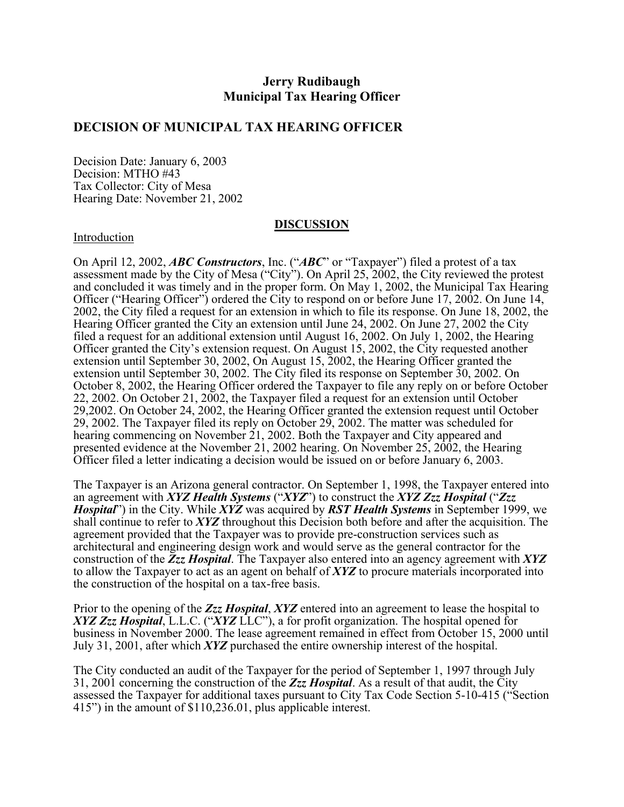# **Jerry Rudibaugh Municipal Tax Hearing Officer**

### **DECISION OF MUNICIPAL TAX HEARING OFFICER**

Decision Date: January 6, 2003 Decision: MTHO #43 Tax Collector: City of Mesa Hearing Date: November 21, 2002

#### **DISCUSSION**

#### Introduction

On April 12, 2002, *ABC Constructors*, Inc. ("*ABC*" or "Taxpayer") filed a protest of a tax assessment made by the City of Mesa ("City"). On April 25, 2002, the City reviewed the protest and concluded it was timely and in the proper form. On May 1, 2002, the Municipal Tax Hearing Officer ("Hearing Officer") ordered the City to respond on or before June 17, 2002. On June 14, 2002, the City filed a request for an extension in which to file its response. On June 18, 2002, the Hearing Officer granted the City an extension until June 24, 2002. On June 27, 2002 the City filed a request for an additional extension until August 16, 2002. On July 1, 2002, the Hearing Officer granted the City's extension request. On August 15, 2002, the City requested another extension until September 30, 2002, On August 15, 2002, the Hearing Officer granted the extension until September 30, 2002. The City filed its response on September 30, 2002. On October 8, 2002, the Hearing Officer ordered the Taxpayer to file any reply on or before October 22, 2002. On October 21, 2002, the Taxpayer filed a request for an extension until October 29,2002. On October 24, 2002, the Hearing Officer granted the extension request until October 29, 2002. The Taxpayer filed its reply on October 29, 2002. The matter was scheduled for hearing commencing on November 21, 2002. Both the Taxpayer and City appeared and presented evidence at the November 21, 2002 hearing. On November 25, 2002, the Hearing Officer filed a letter indicating a decision would be issued on or before January 6, 2003.

The Taxpayer is an Arizona general contractor. On September 1, 1998, the Taxpayer entered into an agreement with *XYZ Health Systems* ("*XYZ*") to construct the *XYZ Zzz Hospital* ("*Zzz Hospital*") in the City. While *XYZ* was acquired by *RST Health Systems* in September 1999, we shall continue to refer to *XYZ* throughout this Decision both before and after the acquisition. The agreement provided that the Taxpayer was to provide pre-construction services such as architectural and engineering design work and would serve as the general contractor for the construction of the *Zzz Hospital*. The Taxpayer also entered into an agency agreement with *XYZ* to allow the Taxpayer to act as an agent on behalf of *XYZ* to procure materials incorporated into the construction of the hospital on a tax-free basis.

Prior to the opening of the *Zzz Hospital*, *XYZ* entered into an agreement to lease the hospital to *XYZ Zzz Hospital*, L.L.C. ("*XYZ* LLC"), a for profit organization. The hospital opened for business in November 2000. The lease agreement remained in effect from October 15, 2000 until July 31, 2001, after which *XYZ* purchased the entire ownership interest of the hospital.

The City conducted an audit of the Taxpayer for the period of September 1, 1997 through July 31, 2001 concerning the construction of the *Zzz Hospital*. As a result of that audit, the City assessed the Taxpayer for additional taxes pursuant to City Tax Code Section 5-10-415 ("Section 415") in the amount of \$110,236.01, plus applicable interest.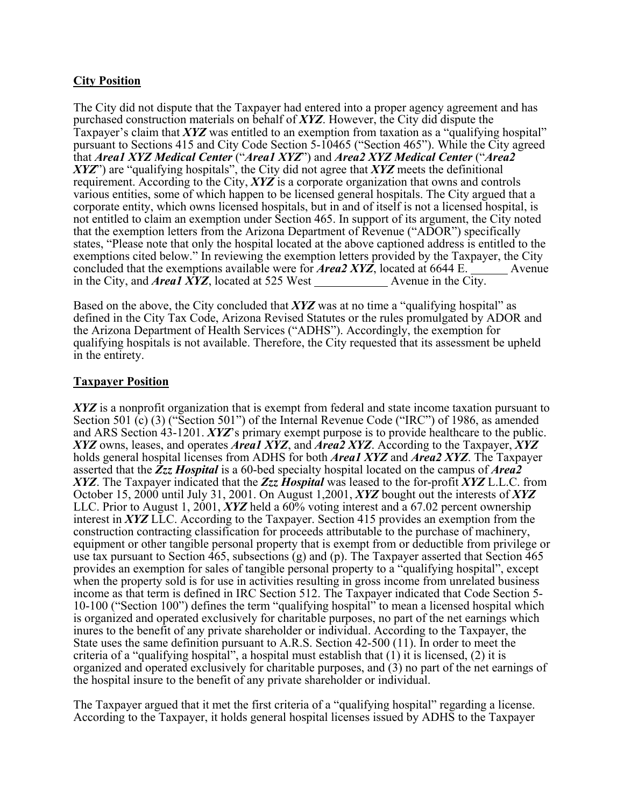## **City Position**

The City did not dispute that the Taxpayer had entered into a proper agency agreement and has purchased construction materials on behalf of *XYZ*. However, the City did dispute the Taxpayer's claim that *XYZ* was entitled to an exemption from taxation as a "qualifying hospital" pursuant to Sections 415 and City Code Section 5-10465 ("Section 465"). While the City agreed that *Area1 XYZ Medical Center* ("*Area1 XYZ*") and *Area2 XYZ Medical Center* ("*Area2 XYZ*") are "qualifying hospitals", the City did not agree that *XYZ* meets the definitional requirement. According to the City, *XYZ* is a corporate organization that owns and controls various entities, some of which happen to be licensed general hospitals. The City argued that a corporate entity, which owns licensed hospitals, but in and of itself is not a licensed hospital, is not entitled to claim an exemption under Section 465. In support of its argument, the City noted that the exemption letters from the Arizona Department of Revenue ("ADOR") specifically states, "Please note that only the hospital located at the above captioned address is entitled to the exemptions cited below." In reviewing the exemption letters provided by the Taxpayer, the City concluded that the exemptions available were for *Area2 XYZ*, located at 6644 E. Avenue in the City, and *Area1 XYZ*, located at 525 West Avenue in the City.

Based on the above, the City concluded that *XYZ* was at no time a "qualifying hospital" as defined in the City Tax Code, Arizona Revised Statutes or the rules promulgated by ADOR and the Arizona Department of Health Services ("ADHS"). Accordingly, the exemption for qualifying hospitals is not available. Therefore, the City requested that its assessment be upheld in the entirety.

## **Taxpayer Position**

XYZ is a nonprofit organization that is exempt from federal and state income taxation pursuant to Section 501 (c) (3) ("Section 501") of the Internal Revenue Code ("IRC") of 1986, as amended and ARS Section 43-1201. *XYZ*'s primary exempt purpose is to provide healthcare to the public. *XYZ* owns, leases, and operates *Area1 XYZ*, and *Area2 XYZ*. According to the Taxpayer, *XYZ* holds general hospital licenses from ADHS for both *Area1 XYZ* and *Area2 XYZ*. The Taxpayer asserted that the *Zzz Hospital* is a 60-bed specialty hospital located on the campus of *Area2 XYZ*. The Taxpayer indicated that the *Zzz Hospital* was leased to the for-profit *XYZ* L.L.C. from October 15, 2000 until July 31, 2001. On August 1,2001, *XYZ* bought out the interests of *XYZ* LLC. Prior to August 1, 2001, *XYZ* held a 60% voting interest and a 67.02 percent ownership interest in *XYZ* LLC. According to the Taxpayer. Section 415 provides an exemption from the construction contracting classification for proceeds attributable to the purchase of machinery, equipment or other tangible personal property that is exempt from or deductible from privilege or use tax pursuant to Section 465, subsections (g) and (p). The Taxpayer asserted that Section 465 provides an exemption for sales of tangible personal property to a "qualifying hospital", except when the property sold is for use in activities resulting in gross income from unrelated business income as that term is defined in IRC Section 512. The Taxpayer indicated that Code Section 5- 10-100 ("Section 100") defines the term "qualifying hospital" to mean a licensed hospital which is organized and operated exclusively for charitable purposes, no part of the net earnings which inures to the benefit of any private shareholder or individual. According to the Taxpayer, the State uses the same definition pursuant to A.R.S. Section 42-500 (11). In order to meet the criteria of a "qualifying hospital", a hospital must establish that (1) it is licensed, (2) it is organized and operated exclusively for charitable purposes, and (3) no part of the net earnings of the hospital insure to the benefit of any private shareholder or individual.

The Taxpayer argued that it met the first criteria of a "qualifying hospital" regarding a license. According to the Taxpayer, it holds general hospital licenses issued by ADHS to the Taxpayer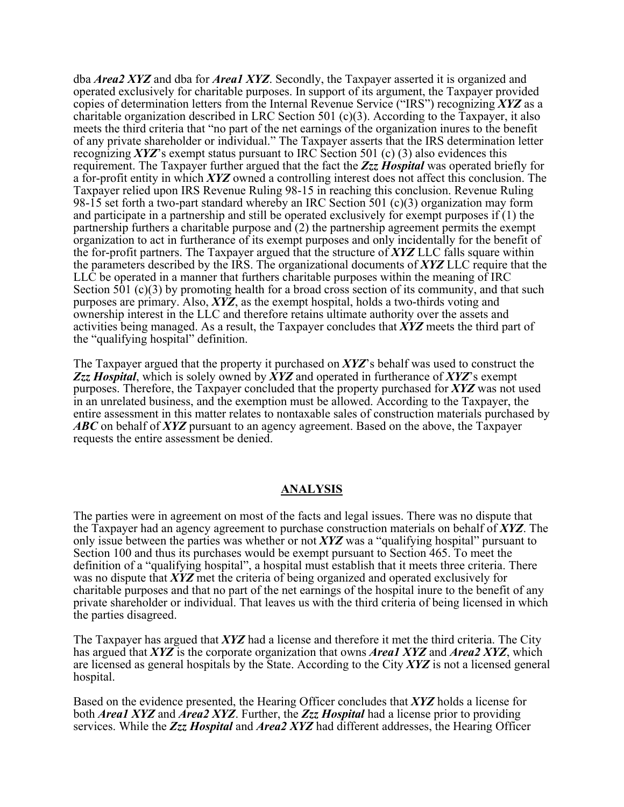dba *Area2 XYZ* and dba for *Area1 XYZ*. Secondly, the Taxpayer asserted it is organized and operated exclusively for charitable purposes. In support of its argument, the Taxpayer provided copies of determination letters from the Internal Revenue Service ("IRS") recognizing *XYZ* as a charitable organization described in LRC Section 501 (c)(3). According to the Taxpayer, it also meets the third criteria that "no part of the net earnings of the organization inures to the benefit of any private shareholder or individual." The Taxpayer asserts that the IRS determination letter recognizing *XYZ*'s exempt status pursuant to IRC Section 501 (c) (3) also evidences this requirement. The Taxpayer further argued that the fact the *Zzz Hospital* was operated briefly for a for-profit entity in which *XYZ* owned a controlling interest does not affect this conclusion. The Taxpayer relied upon IRS Revenue Ruling 98-15 in reaching this conclusion. Revenue Ruling 98-15 set forth a two-part standard whereby an IRC Section 501 (c)(3) organization may form and participate in a partnership and still be operated exclusively for exempt purposes if (1) the partnership furthers a charitable purpose and (2) the partnership agreement permits the exempt organization to act in furtherance of its exempt purposes and only incidentally for the benefit of the for-profit partners. The Taxpayer argued that the structure of *XYZ* LLC falls square within the parameters described by the IRS. The organizational documents of *XYZ* LLC require that the LLC be operated in a manner that furthers charitable purposes within the meaning of IRC Section 501 (c)(3) by promoting health for a broad cross section of its community, and that such purposes are primary. Also, *XYZ*, as the exempt hospital, holds a two-thirds voting and ownership interest in the LLC and therefore retains ultimate authority over the assets and activities being managed. As a result, the Taxpayer concludes that *XYZ* meets the third part of the "qualifying hospital" definition.

The Taxpayer argued that the property it purchased on *XYZ*'s behalf was used to construct the *Zzz Hospital*, which is solely owned by *XYZ* and operated in furtherance of *XYZ*'s exempt purposes. Therefore, the Taxpayer concluded that the property purchased for *XYZ* was not used in an unrelated business, and the exemption must be allowed. According to the Taxpayer, the entire assessment in this matter relates to nontaxable sales of construction materials purchased by *ABC* on behalf of *XYZ* pursuant to an agency agreement. Based on the above, the Taxpayer requests the entire assessment be denied.

## **ANALYSIS**

The parties were in agreement on most of the facts and legal issues. There was no dispute that the Taxpayer had an agency agreement to purchase construction materials on behalf of *XYZ*. The only issue between the parties was whether or not *XYZ* was a "qualifying hospital" pursuant to Section 100 and thus its purchases would be exempt pursuant to Section 465. To meet the definition of a "qualifying hospital", a hospital must establish that it meets three criteria. There was no dispute that *XYZ* met the criteria of being organized and operated exclusively for charitable purposes and that no part of the net earnings of the hospital inure to the benefit of any private shareholder or individual. That leaves us with the third criteria of being licensed in which the parties disagreed.

The Taxpayer has argued that *XYZ* had a license and therefore it met the third criteria. The City has argued that *XYZ* is the corporate organization that owns *Area1 XYZ* and *Area2 XYZ*, which are licensed as general hospitals by the State. According to the City *XYZ* is not a licensed general hospital.

Based on the evidence presented, the Hearing Officer concludes that *XYZ* holds a license for both *Area1 XYZ* and *Area2 XYZ*. Further, the *Zzz Hospital* had a license prior to providing services. While the *Zzz Hospital* and *Area2 XYZ* had different addresses, the Hearing Officer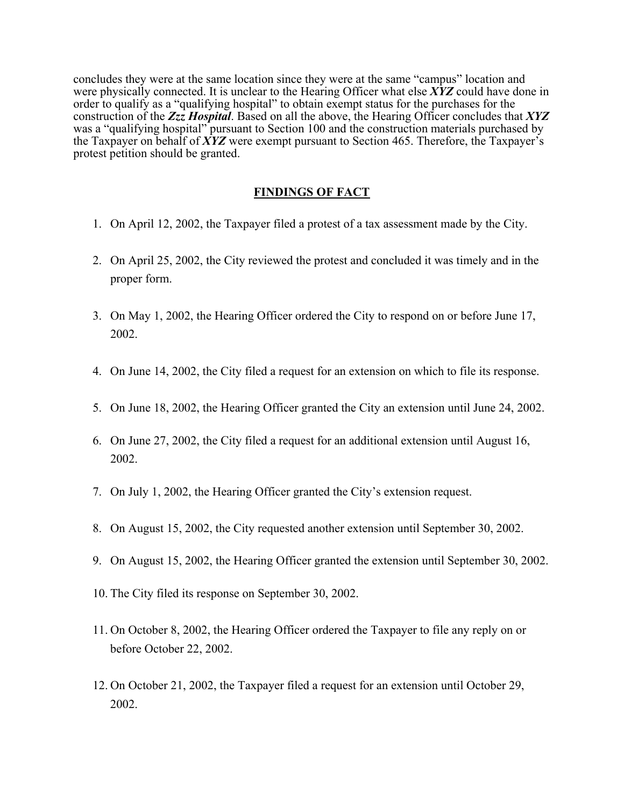concludes they were at the same location since they were at the same "campus" location and were physically connected. It is unclear to the Hearing Officer what else *XYZ* could have done in order to qualify as a "qualifying hospital" to obtain exempt status for the purchases for the construction of the *Zzz Hospital*. Based on all the above, the Hearing Officer concludes that *XYZ* was a "qualifying hospital" pursuant to Section 100 and the construction materials purchased by the Taxpayer on behalf of *XYZ* were exempt pursuant to Section 465. Therefore, the Taxpayer's protest petition should be granted.

### **FINDINGS OF FACT**

- 1. On April 12, 2002, the Taxpayer filed a protest of a tax assessment made by the City.
- 2. On April 25, 2002, the City reviewed the protest and concluded it was timely and in the proper form.
- 3. On May 1, 2002, the Hearing Officer ordered the City to respond on or before June 17, 2002.
- 4. On June 14, 2002, the City filed a request for an extension on which to file its response.
- 5. On June 18, 2002, the Hearing Officer granted the City an extension until June 24, 2002.
- 6. On June 27, 2002, the City filed a request for an additional extension until August 16, 2002.
- 7. On July 1, 2002, the Hearing Officer granted the City's extension request.
- 8. On August 15, 2002, the City requested another extension until September 30, 2002.
- 9. On August 15, 2002, the Hearing Officer granted the extension until September 30, 2002.
- 10. The City filed its response on September 30, 2002.
- 11. On October 8, 2002, the Hearing Officer ordered the Taxpayer to file any reply on or before October 22, 2002.
- 12. On October 21, 2002, the Taxpayer filed a request for an extension until October 29, 2002.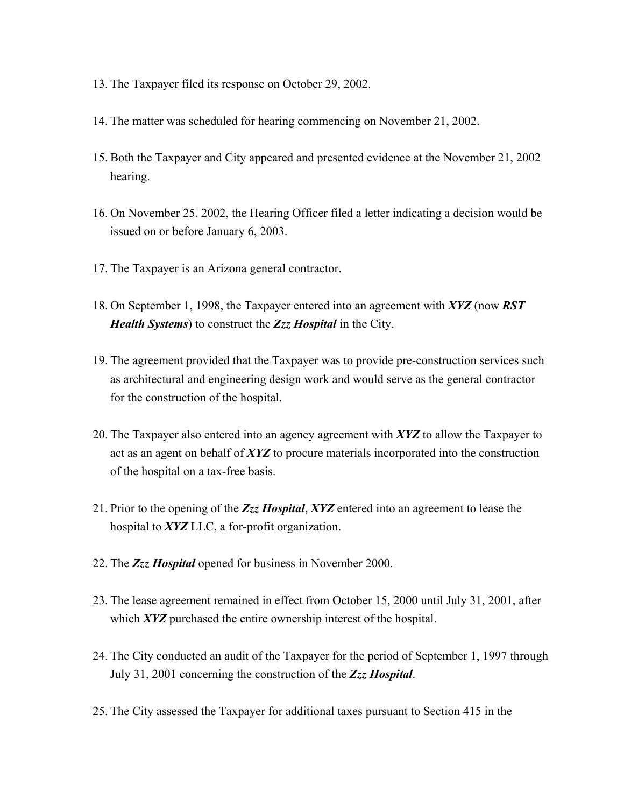- 13. The Taxpayer filed its response on October 29, 2002.
- 14. The matter was scheduled for hearing commencing on November 21, 2002.
- 15. Both the Taxpayer and City appeared and presented evidence at the November 21, 2002 hearing.
- 16. On November 25, 2002, the Hearing Officer filed a letter indicating a decision would be issued on or before January 6, 2003.
- 17. The Taxpayer is an Arizona general contractor.
- 18. On September 1, 1998, the Taxpayer entered into an agreement with *XYZ* (now *RST Health Systems*) to construct the *Zzz Hospital* in the City.
- 19. The agreement provided that the Taxpayer was to provide pre-construction services such as architectural and engineering design work and would serve as the general contractor for the construction of the hospital.
- 20. The Taxpayer also entered into an agency agreement with *XYZ* to allow the Taxpayer to act as an agent on behalf of *XYZ* to procure materials incorporated into the construction of the hospital on a tax-free basis.
- 21. Prior to the opening of the *Zzz Hospital*, *XYZ* entered into an agreement to lease the hospital to *XYZ* LLC, a for-profit organization.
- 22. The *Zzz Hospital* opened for business in November 2000.
- 23. The lease agreement remained in effect from October 15, 2000 until July 31, 2001, after which *XYZ* purchased the entire ownership interest of the hospital.
- 24. The City conducted an audit of the Taxpayer for the period of September 1, 1997 through July 31, 2001 concerning the construction of the *Zzz Hospital*.
- 25. The City assessed the Taxpayer for additional taxes pursuant to Section 415 in the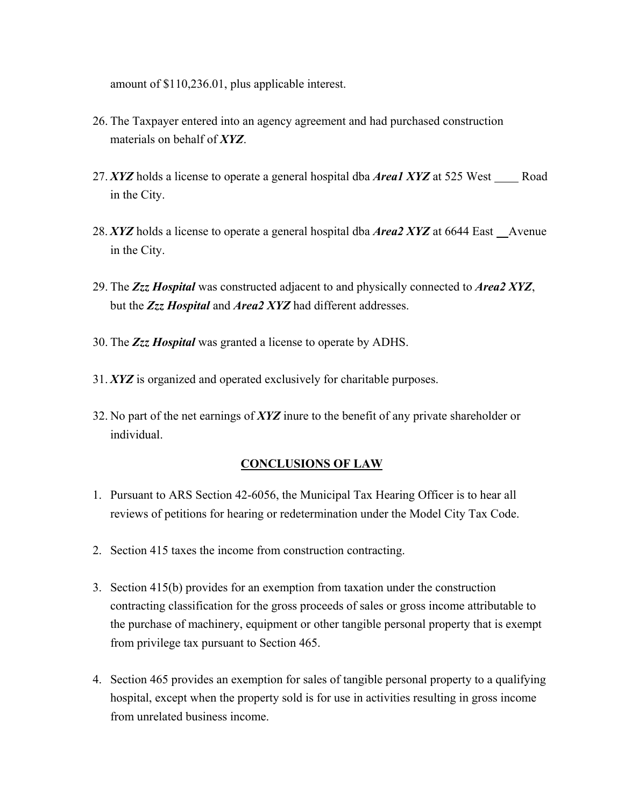amount of \$110,236.01, plus applicable interest.

- 26. The Taxpayer entered into an agency agreement and had purchased construction materials on behalf of *XYZ*.
- 27. *XYZ* holds a license to operate a general hospital dba *Areal XYZ* at 525 West \_\_\_\_\_Road in the City.
- 28. *XYZ* holds a license to operate a general hospital dba *Area2 XYZ* at 6644 East Avenue in the City.
- 29. The *Zzz Hospital* was constructed adjacent to and physically connected to *Area2 XYZ*, but the *Zzz Hospital* and *Area2 XYZ* had different addresses.
- 30. The *Zzz Hospital* was granted a license to operate by ADHS.
- 31. *XYZ* is organized and operated exclusively for charitable purposes.
- 32. No part of the net earnings of *XYZ* inure to the benefit of any private shareholder or individual.

## **CONCLUSIONS OF LAW**

- 1. Pursuant to ARS Section 42-6056, the Municipal Tax Hearing Officer is to hear all reviews of petitions for hearing or redetermination under the Model City Tax Code.
- 2. Section 415 taxes the income from construction contracting.
- 3. Section 415(b) provides for an exemption from taxation under the construction contracting classification for the gross proceeds of sales or gross income attributable to the purchase of machinery, equipment or other tangible personal property that is exempt from privilege tax pursuant to Section 465.
- 4. Section 465 provides an exemption for sales of tangible personal property to a qualifying hospital, except when the property sold is for use in activities resulting in gross income from unrelated business income.